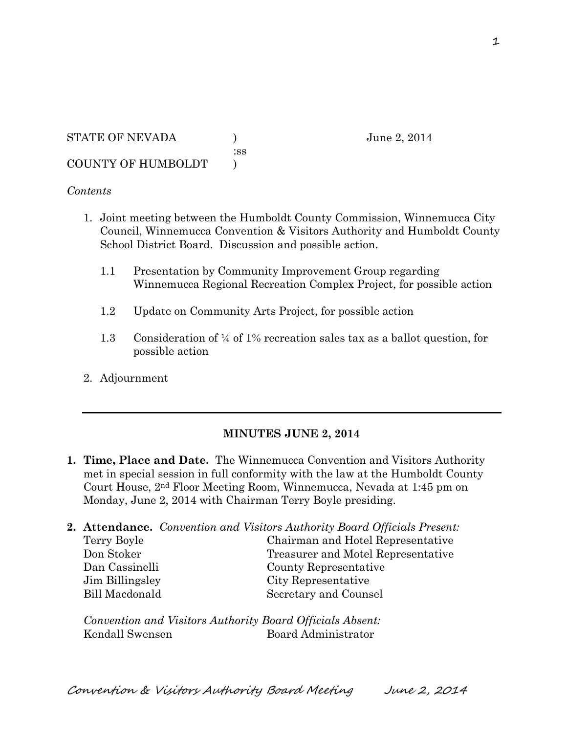#### *Contents*

- 1. Joint meeting between the Humboldt County Commission, Winnemucca City Council, Winnemucca Convention & Visitors Authority and Humboldt County School District Board. Discussion and possible action.
	- 1.1 Presentation by Community Improvement Group regarding Winnemucca Regional Recreation Complex Project, for possible action
	- 1.2 Update on Community Arts Project, for possible action
	- 1.3 Consideration of ¼ of 1% recreation sales tax as a ballot question, for possible action
- 2. Adjournment

#### **MINUTES JUNE 2, 2014**

**1. Time, Place and Date.** The Winnemucca Convention and Visitors Authority met in special session in full conformity with the law at the Humboldt County Court House, 2nd Floor Meeting Room, Winnemucca, Nevada at 1:45 pm on Monday, June 2, 2014 with Chairman Terry Boyle presiding.

| 2. Attendance. Convention and Visitors Authority Board Officials Present: |                                    |
|---------------------------------------------------------------------------|------------------------------------|
| Terry Boyle                                                               | Chairman and Hotel Representative  |
| Don Stoker                                                                | Treasurer and Motel Representative |
| Dan Cassinelli                                                            | County Representative              |
| Jim Billingsley                                                           | City Representative                |
| <b>Bill Macdonald</b>                                                     | Secretary and Counsel              |
|                                                                           |                                    |

*Convention and Visitors Authority Board Officials Absent:* Kendall Swensen Board Administrator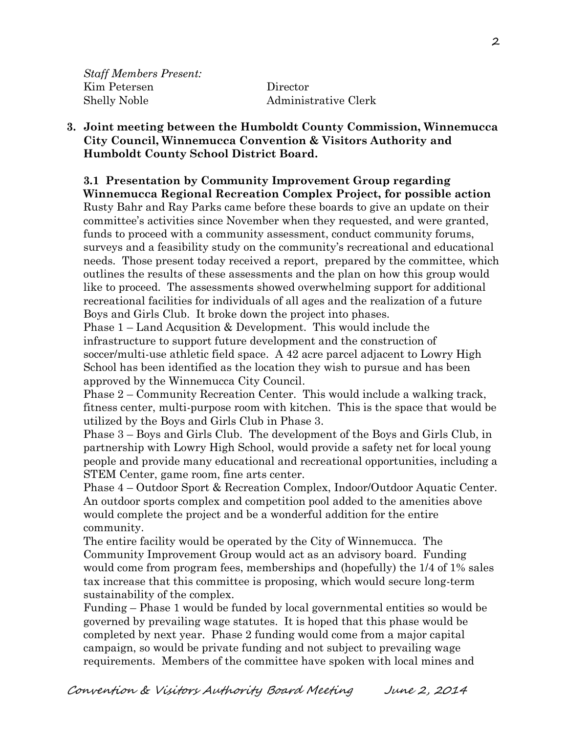*Staff Members Present:* Kim Petersen Director

Shelly Noble **Administrative Clerk** 

#### **3. Joint meeting between the Humboldt County Commission, Winnemucca City Council, Winnemucca Convention & Visitors Authority and Humboldt County School District Board.**

# **3.1 Presentation by Community Improvement Group regarding**

**Winnemucca Regional Recreation Complex Project, for possible action** Rusty Bahr and Ray Parks came before these boards to give an update on their committee's activities since November when they requested, and were granted, funds to proceed with a community assessment, conduct community forums, surveys and a feasibility study on the community's recreational and educational needs. Those present today received a report, prepared by the committee, which outlines the results of these assessments and the plan on how this group would like to proceed. The assessments showed overwhelming support for additional recreational facilities for individuals of all ages and the realization of a future Boys and Girls Club. It broke down the project into phases.

Phase 1 – Land Acqusition & Development. This would include the infrastructure to support future development and the construction of soccer/multi-use athletic field space. A 42 acre parcel adjacent to Lowry High School has been identified as the location they wish to pursue and has been approved by the Winnemucca City Council.

Phase 2 – Community Recreation Center. This would include a walking track, fitness center, multi-purpose room with kitchen. This is the space that would be utilized by the Boys and Girls Club in Phase 3.

Phase 3 – Boys and Girls Club. The development of the Boys and Girls Club, in partnership with Lowry High School, would provide a safety net for local young people and provide many educational and recreational opportunities, including a STEM Center, game room, fine arts center.

Phase 4 – Outdoor Sport & Recreation Complex, Indoor/Outdoor Aquatic Center. An outdoor sports complex and competition pool added to the amenities above would complete the project and be a wonderful addition for the entire community.

The entire facility would be operated by the City of Winnemucca. The Community Improvement Group would act as an advisory board. Funding would come from program fees, memberships and (hopefully) the 1/4 of 1% sales tax increase that this committee is proposing, which would secure long-term sustainability of the complex.

Funding – Phase 1 would be funded by local governmental entities so would be governed by prevailing wage statutes. It is hoped that this phase would be completed by next year. Phase 2 funding would come from a major capital campaign, so would be private funding and not subject to prevailing wage requirements. Members of the committee have spoken with local mines and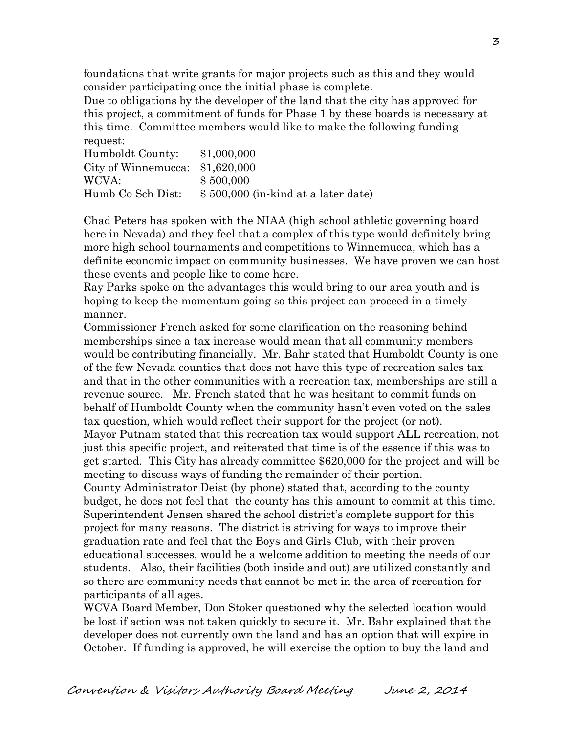foundations that write grants for major projects such as this and they would consider participating once the initial phase is complete.

Due to obligations by the developer of the land that the city has approved for this project, a commitment of funds for Phase 1 by these boards is necessary at this time. Committee members would like to make the following funding request:

| Humboldt County:    | \$1,000,000                         |
|---------------------|-------------------------------------|
| City of Winnemucca: | \$1,620,000                         |
| WCVA:               | \$500,000                           |
| Humb Co Sch Dist:   | \$500,000 (in-kind at a later date) |

Chad Peters has spoken with the NIAA (high school athletic governing board here in Nevada) and they feel that a complex of this type would definitely bring more high school tournaments and competitions to Winnemucca, which has a definite economic impact on community businesses. We have proven we can host these events and people like to come here.

Ray Parks spoke on the advantages this would bring to our area youth and is hoping to keep the momentum going so this project can proceed in a timely manner.

Commissioner French asked for some clarification on the reasoning behind memberships since a tax increase would mean that all community members would be contributing financially. Mr. Bahr stated that Humboldt County is one of the few Nevada counties that does not have this type of recreation sales tax and that in the other communities with a recreation tax, memberships are still a revenue source. Mr. French stated that he was hesitant to commit funds on behalf of Humboldt County when the community hasn't even voted on the sales tax question, which would reflect their support for the project (or not). Mayor Putnam stated that this recreation tax would support ALL recreation, not just this specific project, and reiterated that time is of the essence if this was to get started. This City has already committee \$620,000 for the project and will be meeting to discuss ways of funding the remainder of their portion.

County Administrator Deist (by phone) stated that, according to the county budget, he does not feel that the county has this amount to commit at this time. Superintendent Jensen shared the school district's complete support for this project for many reasons. The district is striving for ways to improve their graduation rate and feel that the Boys and Girls Club, with their proven educational successes, would be a welcome addition to meeting the needs of our students. Also, their facilities (both inside and out) are utilized constantly and so there are community needs that cannot be met in the area of recreation for participants of all ages.

WCVA Board Member, Don Stoker questioned why the selected location would be lost if action was not taken quickly to secure it. Mr. Bahr explained that the developer does not currently own the land and has an option that will expire in October. If funding is approved, he will exercise the option to buy the land and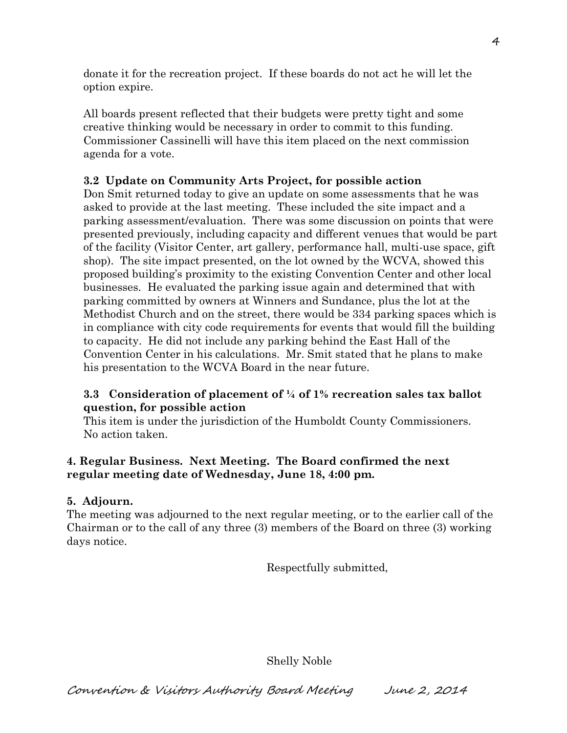donate it for the recreation project. If these boards do not act he will let the option expire.

All boards present reflected that their budgets were pretty tight and some creative thinking would be necessary in order to commit to this funding. Commissioner Cassinelli will have this item placed on the next commission agenda for a vote.

## **3.2 Update on Community Arts Project, for possible action**

Don Smit returned today to give an update on some assessments that he was asked to provide at the last meeting. These included the site impact and a parking assessment/evaluation. There was some discussion on points that were presented previously, including capacity and different venues that would be part of the facility (Visitor Center, art gallery, performance hall, multi-use space, gift shop). The site impact presented, on the lot owned by the WCVA, showed this proposed building's proximity to the existing Convention Center and other local businesses. He evaluated the parking issue again and determined that with parking committed by owners at Winners and Sundance, plus the lot at the Methodist Church and on the street, there would be 334 parking spaces which is in compliance with city code requirements for events that would fill the building to capacity. He did not include any parking behind the East Hall of the Convention Center in his calculations. Mr. Smit stated that he plans to make his presentation to the WCVA Board in the near future.

## **3.3 Consideration of placement of ¼ of 1% recreation sales tax ballot question, for possible action**

This item is under the jurisdiction of the Humboldt County Commissioners. No action taken.

## **4. Regular Business. Next Meeting. The Board confirmed the next regular meeting date of Wednesday, June 18, 4:00 pm.**

#### **5. Adjourn.**

The meeting was adjourned to the next regular meeting, or to the earlier call of the Chairman or to the call of any three (3) members of the Board on three (3) working days notice.

Respectfully submitted,

Shelly Noble